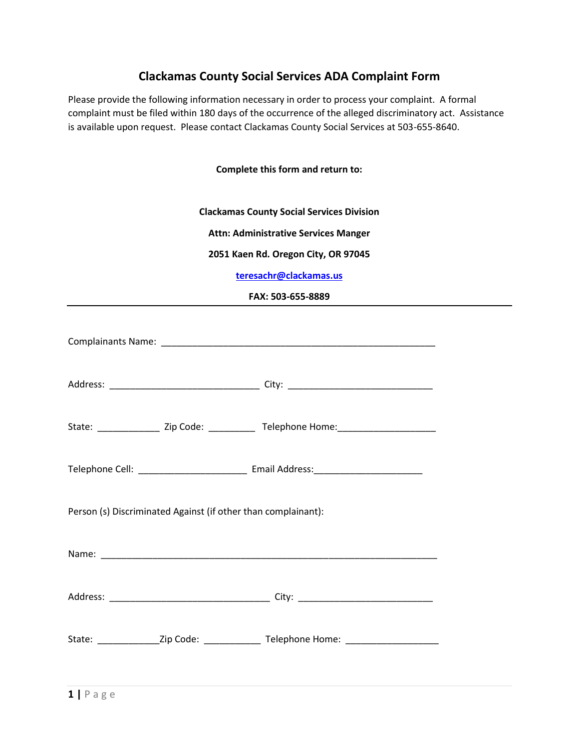## **Clackamas County Social Services ADA Complaint Form**

Please provide the following information necessary in order to process your complaint. A formal complaint must be filed within 180 days of the occurrence of the alleged discriminatory act. Assistance is available upon request. Please contact Clackamas County Social Services at 503-655-8640.

**Complete this form and return to:**

**Clackamas County Social Services Division**

**Attn: Administrative Services Manger**

**2051 Kaen Rd. Oregon City, OR 97045**

**[teresachr@clackamas.us](mailto:teresachr@clackamas.us)**

**FAX: 503-655-8889**

| State: ___________________ Zip Code: ________________ Telephone Home: _____________________________ |                                                                                                     |  |
|-----------------------------------------------------------------------------------------------------|-----------------------------------------------------------------------------------------------------|--|
|                                                                                                     |                                                                                                     |  |
| Person (s) Discriminated Against (if other than complainant):                                       |                                                                                                     |  |
|                                                                                                     |                                                                                                     |  |
|                                                                                                     |                                                                                                     |  |
|                                                                                                     | State: _________________Zip Code: ___________________Telephone Home: ______________________________ |  |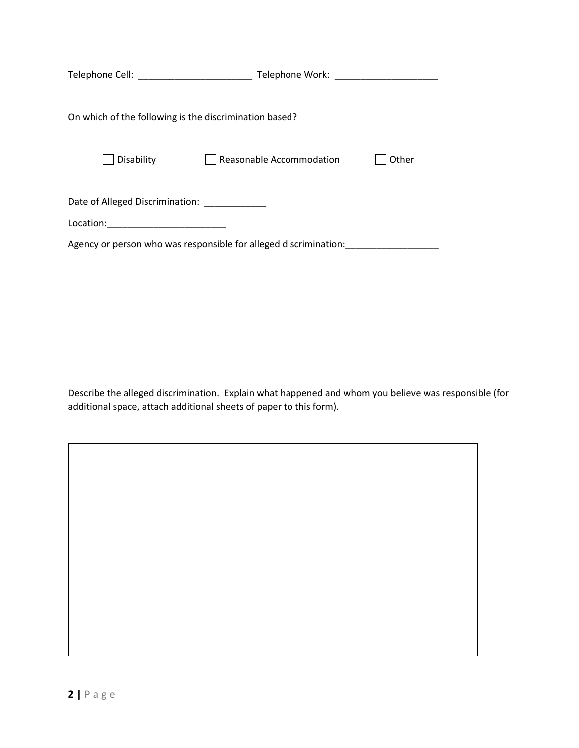|                                                                  | Telephone Work:          |       |
|------------------------------------------------------------------|--------------------------|-------|
|                                                                  |                          |       |
|                                                                  |                          |       |
| On which of the following is the discrimination based?           |                          |       |
|                                                                  |                          |       |
|                                                                  |                          |       |
| Disability                                                       | Reasonable Accommodation | Other |
|                                                                  |                          |       |
|                                                                  |                          |       |
| Date of Alleged Discrimination:                                  |                          |       |
| Location:<br><u> 1980 - Jan James James Barbara, polit</u> ik    |                          |       |
|                                                                  |                          |       |
| Agency or person who was responsible for alleged discrimination: |                          |       |

Describe the alleged discrimination. Explain what happened and whom you believe was responsible (for additional space, attach additional sheets of paper to this form).